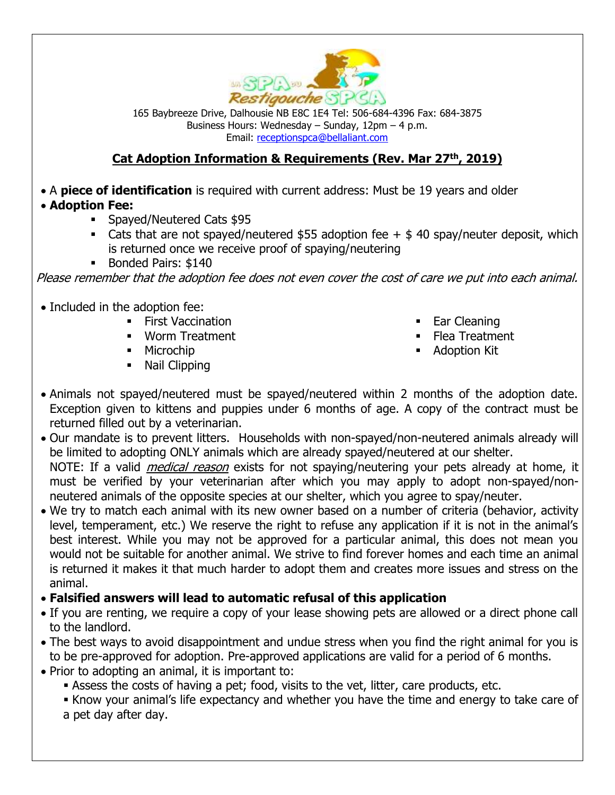

165 Baybreeze Drive, Dalhousie NB E8C 1E4 Tel: 506-684-4396 Fax: 684-3875 Business Hours: Wednesday – Sunday, 12pm – 4 p.m. Email: [receptionspca@bellaliant.com](mailto:restspca@nb.aibn.com)

## **Cat Adoption Information & Requirements (Rev. Mar 27th, 2019)**

• A **piece of identification** is required with current address: Must be 19 years and older

- **Adoption Fee:**
	- Spayed/Neutered Cats \$95
	- E Cats that are not spayed/neutered  $$55$  adoption fee  $+$  \$ 40 spay/neuter deposit, which is returned once we receive proof of spaying/neutering
	- Bonded Pairs: \$140

Please remember that the adoption fee does not even cover the cost of care we put into each animal.

- Included in the adoption fee:
	- **Eirst Vaccination**
	- Worm Treatment
	- Microchip
	- Nail Clipping
- Ear Cleaning
- Flea Treatment
- Adoption Kit
- Animals not spayed/neutered must be spayed/neutered within 2 months of the adoption date. Exception given to kittens and puppies under 6 months of age. A copy of the contract must be returned filled out by a veterinarian.
- Our mandate is to prevent litters. Households with non-spayed/non-neutered animals already will be limited to adopting ONLY animals which are already spayed/neutered at our shelter. NOTE: If a valid *medical reason* exists for not spaying/neutering your pets already at home, it must be verified by your veterinarian after which you may apply to adopt non-spayed/nonneutered animals of the opposite species at our shelter, which you agree to spay/neuter.
- We try to match each animal with its new owner based on a number of criteria (behavior, activity level, temperament, etc.) We reserve the right to refuse any application if it is not in the animal's best interest. While you may not be approved for a particular animal, this does not mean you would not be suitable for another animal. We strive to find forever homes and each time an animal is returned it makes it that much harder to adopt them and creates more issues and stress on the animal.
- **Falsified answers will lead to automatic refusal of this application**
- If you are renting, we require a copy of your lease showing pets are allowed or a direct phone call to the landlord.
- The best ways to avoid disappointment and undue stress when you find the right animal for you is to be pre-approved for adoption. Pre-approved applications are valid for a period of 6 months.
- Prior to adopting an animal, it is important to:
	- **EXEL Assess the costs of having a pet; food, visits to the vet, litter, care products, etc.**
	- Know your animal's life expectancy and whether you have the time and energy to take care of a pet day after day.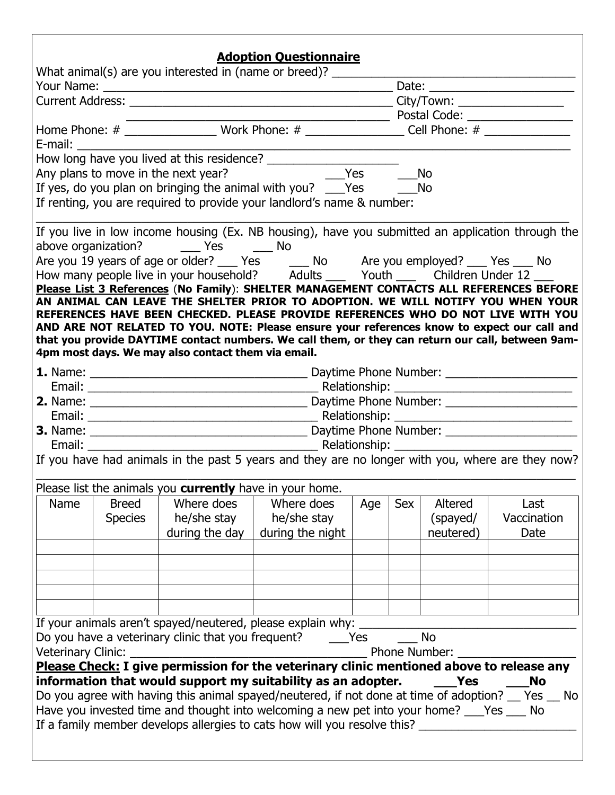|                    |                                                                                               |                                                          | <b>Adoption Questionnaire</b>                                                                                                                                              |     |           |                   |             |  |  |
|--------------------|-----------------------------------------------------------------------------------------------|----------------------------------------------------------|----------------------------------------------------------------------------------------------------------------------------------------------------------------------------|-----|-----------|-------------------|-------------|--|--|
|                    |                                                                                               |                                                          | What animal(s) are you interested in (name or breed)? ___________                                                                                                          |     |           |                   |             |  |  |
|                    |                                                                                               |                                                          |                                                                                                                                                                            |     |           |                   |             |  |  |
|                    |                                                                                               |                                                          |                                                                                                                                                                            |     |           |                   |             |  |  |
|                    |                                                                                               |                                                          |                                                                                                                                                                            |     |           |                   |             |  |  |
|                    | Home Phone: # __________________ Work Phone: # _________________ Cell Phone: # ______________ |                                                          |                                                                                                                                                                            |     |           |                   |             |  |  |
|                    | E-mail: E-mail:                                                                               |                                                          |                                                                                                                                                                            |     |           |                   |             |  |  |
|                    |                                                                                               |                                                          |                                                                                                                                                                            |     |           |                   |             |  |  |
|                    |                                                                                               |                                                          |                                                                                                                                                                            |     | <b>No</b> |                   |             |  |  |
|                    |                                                                                               |                                                          | If yes, do you plan on bringing the animal with you? ___Yes _______No                                                                                                      |     |           |                   |             |  |  |
|                    |                                                                                               |                                                          | If renting, you are required to provide your landlord's name & number:                                                                                                     |     |           |                   |             |  |  |
|                    |                                                                                               |                                                          | If you live in low income housing (Ex. NB housing), have you submitted an application through the                                                                          |     |           |                   |             |  |  |
|                    |                                                                                               | above organization? _______ Yes _______ No               |                                                                                                                                                                            |     |           |                   |             |  |  |
|                    |                                                                                               |                                                          | Are you 19 years of age or older? ___ Yes _____ No ___ Are you employed? ___ Yes ___ No                                                                                    |     |           |                   |             |  |  |
|                    |                                                                                               |                                                          | How many people live in your household? Adults ___ Youth ___ Children Under 12 ___                                                                                         |     |           |                   |             |  |  |
|                    |                                                                                               |                                                          | Please List 3 References (No Family): SHELTER MANAGEMENT CONTACTS ALL REFERENCES BEFORE<br>AN ANIMAL CAN LEAVE THE SHELTER PRIOR TO ADOPTION. WE WILL NOTIFY YOU WHEN YOUR |     |           |                   |             |  |  |
|                    |                                                                                               |                                                          | REFERENCES HAVE BEEN CHECKED. PLEASE PROVIDE REFERENCES WHO DO NOT LIVE WITH YOU                                                                                           |     |           |                   |             |  |  |
|                    |                                                                                               |                                                          | AND ARE NOT RELATED TO YOU. NOTE: Please ensure your references know to expect our call and                                                                                |     |           |                   |             |  |  |
|                    |                                                                                               |                                                          | that you provide DAYTIME contact numbers. We call them, or they can return our call, between 9am-                                                                          |     |           |                   |             |  |  |
|                    |                                                                                               | 4pm most days. We may also contact them via email.       |                                                                                                                                                                            |     |           |                   |             |  |  |
|                    |                                                                                               |                                                          |                                                                                                                                                                            |     |           |                   |             |  |  |
|                    |                                                                                               |                                                          |                                                                                                                                                                            |     |           |                   |             |  |  |
|                    |                                                                                               |                                                          |                                                                                                                                                                            |     |           |                   |             |  |  |
|                    |                                                                                               |                                                          |                                                                                                                                                                            |     |           |                   |             |  |  |
|                    |                                                                                               |                                                          |                                                                                                                                                                            |     |           |                   |             |  |  |
|                    |                                                                                               |                                                          |                                                                                                                                                                            |     |           |                   |             |  |  |
|                    |                                                                                               |                                                          | If you have had animals in the past 5 years and they are no longer with you, where are they now?                                                                           |     |           |                   |             |  |  |
|                    |                                                                                               |                                                          |                                                                                                                                                                            |     |           |                   |             |  |  |
|                    |                                                                                               | Please list the animals you currently have in your home. |                                                                                                                                                                            |     |           |                   |             |  |  |
| Name               | <b>Breed</b>                                                                                  | Where does                                               | Where does                                                                                                                                                                 | Age | Sex       | Altered           | Last        |  |  |
|                    |                                                                                               | he/she stay                                              |                                                                                                                                                                            |     |           | (spayed/          | Vaccination |  |  |
|                    | <b>Species</b>                                                                                |                                                          | he/she stay                                                                                                                                                                |     |           |                   |             |  |  |
|                    |                                                                                               | during the day                                           | during the night                                                                                                                                                           |     |           | neutered)         | Date        |  |  |
|                    |                                                                                               |                                                          |                                                                                                                                                                            |     |           |                   |             |  |  |
|                    |                                                                                               |                                                          |                                                                                                                                                                            |     |           |                   |             |  |  |
|                    |                                                                                               |                                                          |                                                                                                                                                                            |     |           |                   |             |  |  |
|                    |                                                                                               |                                                          |                                                                                                                                                                            |     |           |                   |             |  |  |
|                    |                                                                                               |                                                          |                                                                                                                                                                            |     |           |                   |             |  |  |
|                    |                                                                                               |                                                          | If your animals aren't spayed/neutered, please explain why: _______                                                                                                        |     |           |                   |             |  |  |
|                    |                                                                                               |                                                          | Do you have a veterinary clinic that you frequent? The Yes                                                                                                                 |     |           | <b>No</b>         |             |  |  |
| Veterinary Clinic: |                                                                                               | <u> 1990 - Johann Barbara, martin amerikan ba</u>        |                                                                                                                                                                            |     |           | Phone Number:     |             |  |  |
|                    |                                                                                               |                                                          | Please Check: I give permission for the veterinary clinic mentioned above to release any                                                                                   |     |           |                   |             |  |  |
|                    |                                                                                               |                                                          | information that would support my suitability as an adopter.                                                                                                               |     |           | <b>Parage Yes</b> | <b>No</b>   |  |  |
|                    |                                                                                               |                                                          | Do you agree with having this animal spayed/neutered, if not done at time of adoption? __ Yes __ No                                                                        |     |           |                   |             |  |  |
|                    |                                                                                               |                                                          | Have you invested time and thought into welcoming a new pet into your home? ___Yes ___ No                                                                                  |     |           |                   |             |  |  |
|                    |                                                                                               |                                                          | If a family member develops allergies to cats how will you resolve this?                                                                                                   |     |           |                   |             |  |  |
|                    |                                                                                               |                                                          |                                                                                                                                                                            |     |           |                   |             |  |  |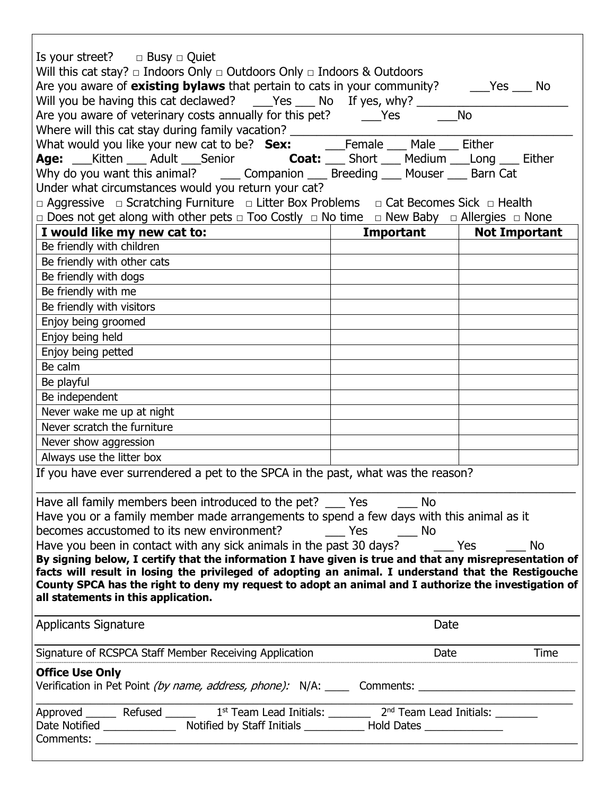| Is your street? $\Box$ Busy $\Box$ Quiet<br>Will this cat stay? $\Box$ Indoors Only $\Box$ Outdoors Only $\Box$ Indoors & Outdoors<br>Are you aware of existing bylaws that pertain to cats in your community? ______Yes ____ No<br>Will you be having this cat declawed? ___Yes ___ No If yes, why? ________ |                                            | <b>No</b>    |  |  |  |  |  |  |
|---------------------------------------------------------------------------------------------------------------------------------------------------------------------------------------------------------------------------------------------------------------------------------------------------------------|--------------------------------------------|--------------|--|--|--|--|--|--|
| Are you aware of veterinary costs annually for this pet? _______Yes ______                                                                                                                                                                                                                                    |                                            |              |  |  |  |  |  |  |
|                                                                                                                                                                                                                                                                                                               |                                            |              |  |  |  |  |  |  |
| Age: __Kitten ___ Adult ___Senior coat: ___ Short ___ Medium ___Long ___ Either                                                                                                                                                                                                                               |                                            |              |  |  |  |  |  |  |
| Why do you want this animal? _______ Companion _____ Breeding _____ Mouser _____ Barn Cat                                                                                                                                                                                                                     |                                            |              |  |  |  |  |  |  |
| Under what circumstances would you return your cat?                                                                                                                                                                                                                                                           |                                            |              |  |  |  |  |  |  |
|                                                                                                                                                                                                                                                                                                               |                                            |              |  |  |  |  |  |  |
| □ Aggressive □ Scratching Furniture □ Litter Box Problems □ Cat Becomes Sick □ Health<br>□ Does not get along with other pets □ Too Costly □ No time □ New Baby □ Allergies □ None                                                                                                                            |                                            |              |  |  |  |  |  |  |
| I would like my new cat to:                                                                                                                                                                                                                                                                                   | <b>Example 1 Important</b>   Not Important |              |  |  |  |  |  |  |
| Be friendly with children                                                                                                                                                                                                                                                                                     |                                            |              |  |  |  |  |  |  |
| Be friendly with other cats                                                                                                                                                                                                                                                                                   |                                            |              |  |  |  |  |  |  |
| Be friendly with dogs                                                                                                                                                                                                                                                                                         |                                            |              |  |  |  |  |  |  |
| Be friendly with me                                                                                                                                                                                                                                                                                           |                                            |              |  |  |  |  |  |  |
|                                                                                                                                                                                                                                                                                                               |                                            |              |  |  |  |  |  |  |
| Be friendly with visitors                                                                                                                                                                                                                                                                                     |                                            |              |  |  |  |  |  |  |
| Enjoy being groomed                                                                                                                                                                                                                                                                                           |                                            |              |  |  |  |  |  |  |
| Enjoy being held                                                                                                                                                                                                                                                                                              |                                            |              |  |  |  |  |  |  |
| Enjoy being petted                                                                                                                                                                                                                                                                                            |                                            |              |  |  |  |  |  |  |
| Be calm                                                                                                                                                                                                                                                                                                       |                                            |              |  |  |  |  |  |  |
| Be playful                                                                                                                                                                                                                                                                                                    |                                            |              |  |  |  |  |  |  |
| Be independent                                                                                                                                                                                                                                                                                                |                                            |              |  |  |  |  |  |  |
| Never wake me up at night                                                                                                                                                                                                                                                                                     |                                            |              |  |  |  |  |  |  |
| Never scratch the furniture                                                                                                                                                                                                                                                                                   |                                            |              |  |  |  |  |  |  |
| Never show aggression                                                                                                                                                                                                                                                                                         |                                            |              |  |  |  |  |  |  |
| Always use the litter box                                                                                                                                                                                                                                                                                     |                                            |              |  |  |  |  |  |  |
| If you have ever surrendered a pet to the SPCA in the past, what was the reason?                                                                                                                                                                                                                              |                                            |              |  |  |  |  |  |  |
| Have all family members been introduced to the pet? ____ Yes                                                                                                                                                                                                                                                  | a No                                       |              |  |  |  |  |  |  |
| Have you or a family member made arrangements to spend a few days with this animal as it                                                                                                                                                                                                                      |                                            |              |  |  |  |  |  |  |
| becomes accustomed to its new environment? The State State State State State State State State State State State State State State State State State State State State State State State State State State State State State S                                                                                |                                            |              |  |  |  |  |  |  |
| Have you been in contact with any sick animals in the past 30 days? _______ Yes<br><b>No</b>                                                                                                                                                                                                                  |                                            |              |  |  |  |  |  |  |
| By signing below, I certify that the information I have given is true and that any misrepresentation of                                                                                                                                                                                                       |                                            |              |  |  |  |  |  |  |
| facts will result in losing the privileged of adopting an animal. I understand that the Restigouche                                                                                                                                                                                                           |                                            |              |  |  |  |  |  |  |
| County SPCA has the right to deny my request to adopt an animal and I authorize the investigation of                                                                                                                                                                                                          |                                            |              |  |  |  |  |  |  |
| all statements in this application.                                                                                                                                                                                                                                                                           |                                            |              |  |  |  |  |  |  |
| Applicants Signature                                                                                                                                                                                                                                                                                          | Date                                       |              |  |  |  |  |  |  |
| Signature of RCSPCA Staff Member Receiving Application                                                                                                                                                                                                                                                        |                                            | Time<br>Date |  |  |  |  |  |  |
| <b>Office Use Only</b><br>Verification in Pet Point (by name, address, phone): N/A: _____ Comments: _________________________                                                                                                                                                                                 |                                            |              |  |  |  |  |  |  |
|                                                                                                                                                                                                                                                                                                               |                                            |              |  |  |  |  |  |  |
| Approved ______ Refused ______ 1 <sup>st</sup> Team Lead Initials: _______ 2 <sup>nd</sup> Team Lead Initials: _______                                                                                                                                                                                        |                                            |              |  |  |  |  |  |  |
| Date Notified ________________ Notified by Staff Initials ____________ Hold Dates ________________                                                                                                                                                                                                            |                                            |              |  |  |  |  |  |  |
|                                                                                                                                                                                                                                                                                                               |                                            |              |  |  |  |  |  |  |

 $\mathsf{l}$